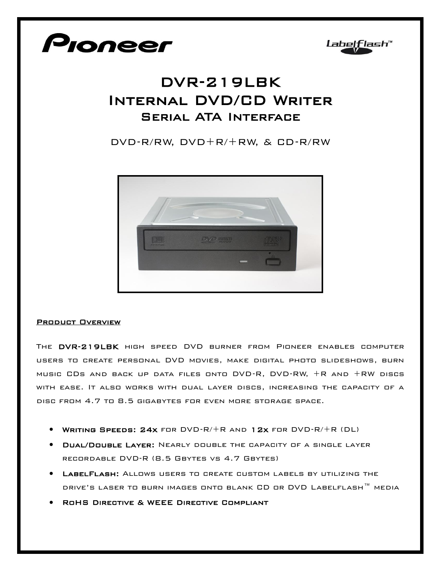



## DVR-219LBK Internal DVD/CD Writer Serial ATA Interface

DVD-R/RW, DVD+R/+RW, & CD-R/RW



## Product Overview

The DVR-219LBK high speed DVD burner from Pioneer enables computer users to create personal DVD movies, make digital photo slideshows, burn music CDs and back up data files onto DVD-R, DVD-RW, +R and +RW discs with ease. It also works with dual layer discs, increasing the capacity of a disc from 4.7 to 8.5 gigabytes for even more storage space.

- Writing Speeds: 24x for DVD-R/+R and 12x for DVD-R/+R (DL)
- **DUAL/DOUBLE LAYER:** NEARLY DOUBLE THE CAPACITY OF A SINGLE LAYER recordable DVD-R (8.5 Gbytes vs 4.7 Gbytes)
- LabelFlash: Allows users to create custom labels by utilizing the drive's laser to burn images onto blank CD or DVD Labelflash™ media
- RoHS Directive & WEEE Directive Compliant